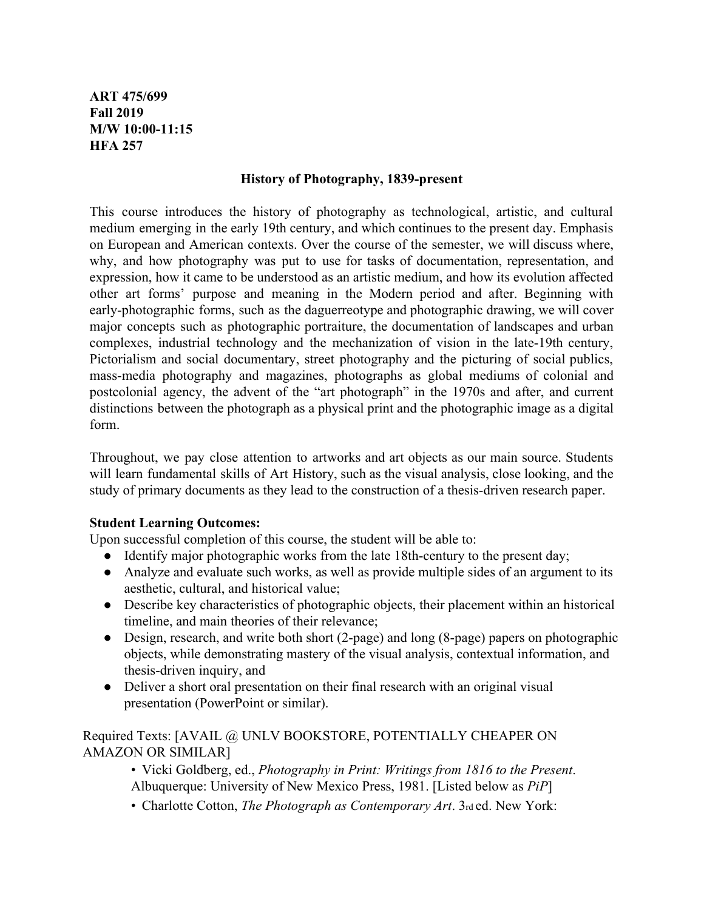**ART 475/699 Fall 2019 M/W 10:00-11:15 HFA 257**

### **History of Photography, 1839-present**

This course introduces the history of photography as technological, artistic, and cultural medium emerging in the early 19th century, and which continues to the present day. Emphasis on European and American contexts. Over the course of the semester, we will discuss where, why, and how photography was put to use for tasks of documentation, representation, and expression, how it came to be understood as an artistic medium, and how its evolution affected other art forms' purpose and meaning in the Modern period and after. Beginning with early-photographic forms, such as the daguerreotype and photographic drawing, we will cover major concepts such as photographic portraiture, the documentation of landscapes and urban complexes, industrial technology and the mechanization of vision in the late-19th century, Pictorialism and social documentary, street photography and the picturing of social publics, mass-media photography and magazines, photographs as global mediums of colonial and postcolonial agency, the advent of the "art photograph" in the 1970s and after, and current distinctions between the photograph as a physical print and the photographic image as a digital form.

Throughout, we pay close attention to artworks and art objects as our main source. Students will learn fundamental skills of Art History, such as the visual analysis, close looking, and the study of primary documents as they lead to the construction of a thesis-driven research paper.

## **Student Learning Outcomes:**

Upon successful completion of this course, the student will be able to:

- Identify major photographic works from the late 18th-century to the present day;
- Analyze and evaluate such works, as well as provide multiple sides of an argument to its aesthetic, cultural, and historical value;
- Describe key characteristics of photographic objects, their placement within an historical timeline, and main theories of their relevance;
- Design, research, and write both short (2-page) and long (8-page) papers on photographic objects, while demonstrating mastery of the visual analysis, contextual information, and thesis-driven inquiry, and
- Deliver a short oral presentation on their final research with an original visual presentation (PowerPoint or similar).

Required Texts: [AVAIL @ UNLV BOOKSTORE, POTENTIALLY CHEAPER ON AMAZON OR SIMILAR]

- Vicki Goldberg, ed., *Photography in Print: Writings from 1816 to the Present*. Albuquerque: University of New Mexico Press, 1981. [Listed below as *PiP*]
- Charlotte Cotton, *The Photograph as Contemporary Art*. 3rd ed. New York: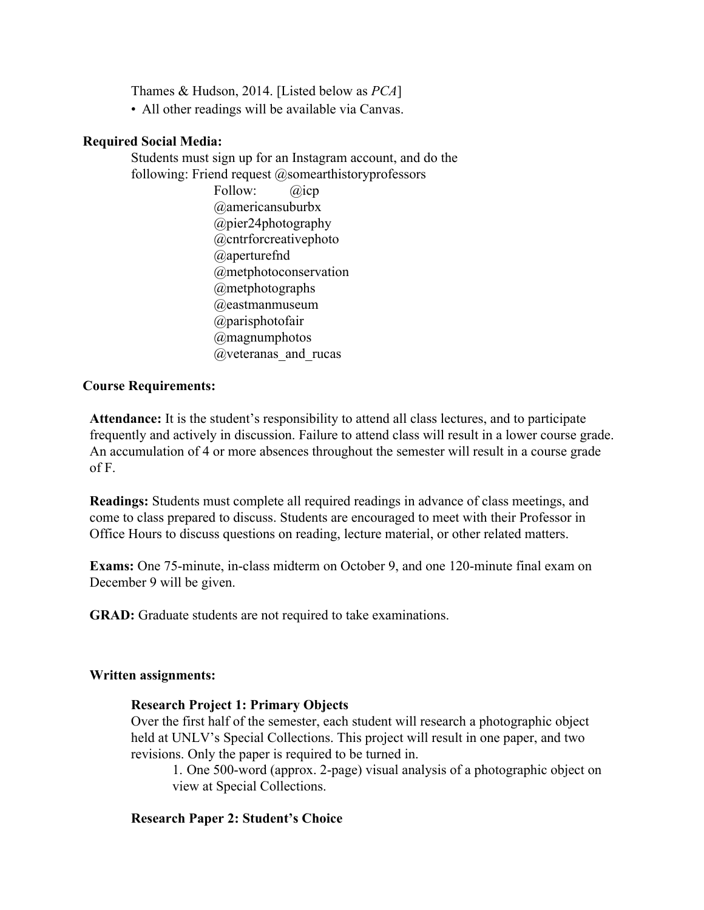Thames & Hudson, 2014. [Listed below as *PCA*]

• All other readings will be available via Canvas.

## **Required Social Media:**

Students must sign up for an Instagram account, and do the following: Friend request  $@$ somearthistoryprofessors

> Follow: @icp @americansuburbx @pier24photography @cntrforcreativephoto @aperturefnd @metphotoconservation @metphotographs @eastmanmuseum @parisphotofair @magnumphotos @veteranas\_and\_rucas

### **Course Requirements:**

**Attendance:** It is the student's responsibility to attend all class lectures, and to participate frequently and actively in discussion. Failure to attend class will result in a lower course grade. An accumulation of 4 or more absences throughout the semester will result in a course grade of F.

**Readings:** Students must complete all required readings in advance of class meetings, and come to class prepared to discuss. Students are encouraged to meet with their Professor in Office Hours to discuss questions on reading, lecture material, or other related matters.

**Exams:** One 75-minute, in-class midterm on October 9, and one 120-minute final exam on December 9 will be given.

**GRAD:** Graduate students are not required to take examinations.

### **Written assignments:**

## **Research Project 1: Primary Objects**

Over the first half of the semester, each student will research a photographic object held at UNLV's Special Collections. This project will result in one paper, and two revisions. Only the paper is required to be turned in.

1. One 500-word (approx. 2-page) visual analysis of a photographic object on view at Special Collections.

### **Research Paper 2: Student's Choice**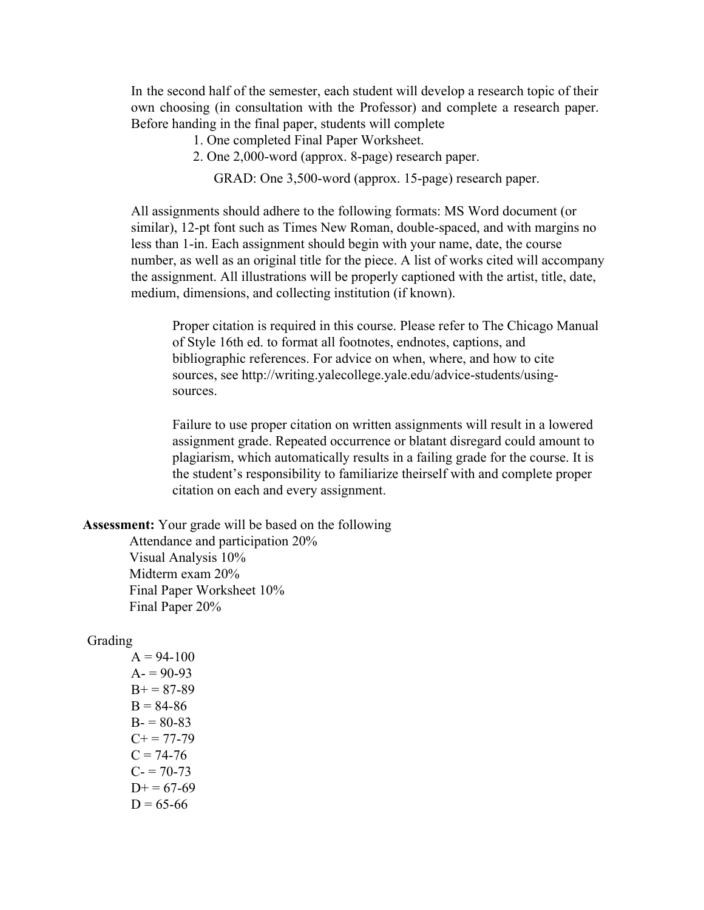In the second half of the semester, each student will develop a research topic of their own choosing (in consultation with the Professor) and complete a research paper. Before handing in the final paper, students will complete

- 1. One completed Final Paper Worksheet.
- 2. One 2,000-word (approx. 8-page) research paper.

GRAD: One 3,500-word (approx. 15-page) research paper.

All assignments should adhere to the following formats: MS Word document (or similar), 12-pt font such as Times New Roman, double-spaced, and with margins no less than 1-in. Each assignment should begin with your name, date, the course number, as well as an original title for the piece. A list of works cited will accompany the assignment. All illustrations will be properly captioned with the artist, title, date, medium, dimensions, and collecting institution (if known).

Proper citation is required in this course. Please refer to The Chicago Manual of Style 16th ed. to format all footnotes, endnotes, captions, and bibliographic references. For advice on when, where, and how to cite sources, se[e http://writing.yalecollege.yale.edu/advice-students/using](http://writing.yalecollege.yale.edu/advice-students/using-)sources.

Failure to use proper citation on written assignments will result in a lowered assignment grade. Repeated occurrence or blatant disregard could amount to plagiarism, which automatically results in a failing grade for the course. It is the student's responsibility to familiarize theirself with and complete proper citation on each and every assignment.

**Assessment:** Your grade will be based on the following

Attendance and participation 20% Visual Analysis 10% Midterm exam 20% Final Paper Worksheet 10% Final Paper 20%

#### Grading

 $A = 94-100$  $A = 90-93$  $B+= 87-89$  $B = 84-86$  $B = 80-83$  $C+= 77-79$  $C = 74-76$  $C = 70-73$  $D+= 67-69$  $D = 65-66$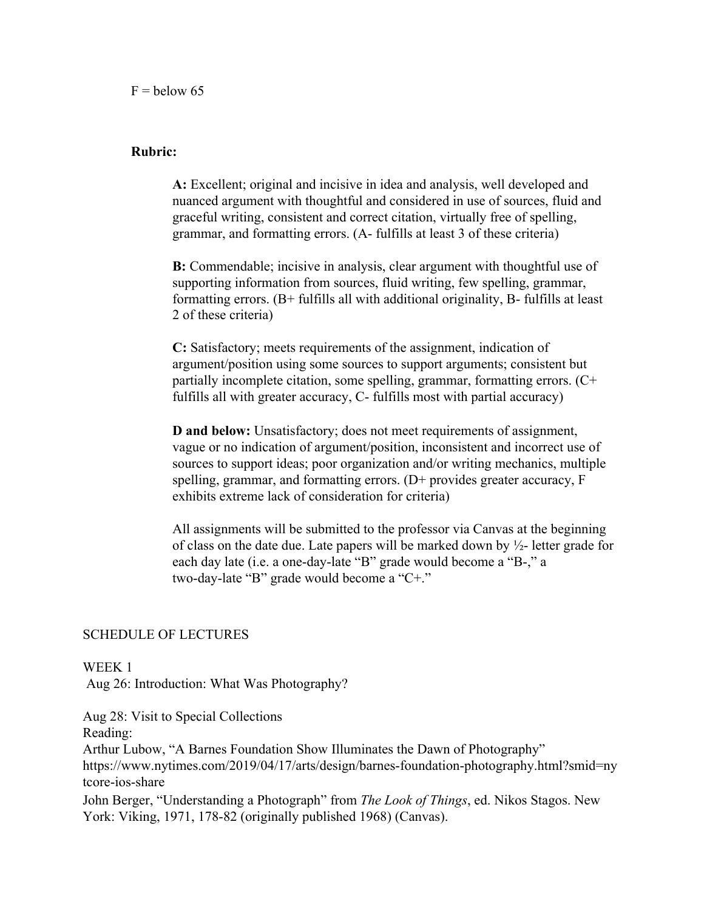### **Rubric:**

**A:** Excellent; original and incisive in idea and analysis, well developed and nuanced argument with thoughtful and considered in use of sources, fluid and graceful writing, consistent and correct citation, virtually free of spelling, grammar, and formatting errors. (A- fulfills at least 3 of these criteria)

**B:** Commendable; incisive in analysis, clear argument with thoughtful use of supporting information from sources, fluid writing, few spelling, grammar, formatting errors. (B+ fulfills all with additional originality, B- fulfills at least 2 of these criteria)

**C:** Satisfactory; meets requirements of the assignment, indication of argument/position using some sources to support arguments; consistent but partially incomplete citation, some spelling, grammar, formatting errors. (C+ fulfills all with greater accuracy, C- fulfills most with partial accuracy)

**D and below:** Unsatisfactory; does not meet requirements of assignment, vague or no indication of argument/position, inconsistent and incorrect use of sources to support ideas; poor organization and/or writing mechanics, multiple spelling, grammar, and formatting errors. (D+ provides greater accuracy, F exhibits extreme lack of consideration for criteria)

All assignments will be submitted to the professor via Canvas at the beginning of class on the date due. Late papers will be marked down by  $\frac{1}{2}$ - letter grade for each day late (i.e. a one-day-late "B" grade would become a "B-," a two-day-late "B" grade would become a "C+."

### SCHEDULE OF LECTURES

WEEK 1

Aug 26: Introduction: What Was Photography?

Aug 28: Visit to Special Collections Reading: Arthur Lubow, "A Barnes Foundation Show Illuminates the Dawn of Photography" [https://www.nytimes.com/2019/04/17/arts/design/barnes-](http://www.nytimes.com/2019/04/17/arts/design/barnes-)foundation-photography.h[tm](http://www.nytimes.com/2019/04/17/arts/design/barnes-)l?smid=ny tcore-ios-share John Berger, "Understanding a Photograph" from *The Look of Things*, ed. Nikos Stagos. New York: Viking, 1971, 178-82 (originally published 1968) (Canvas).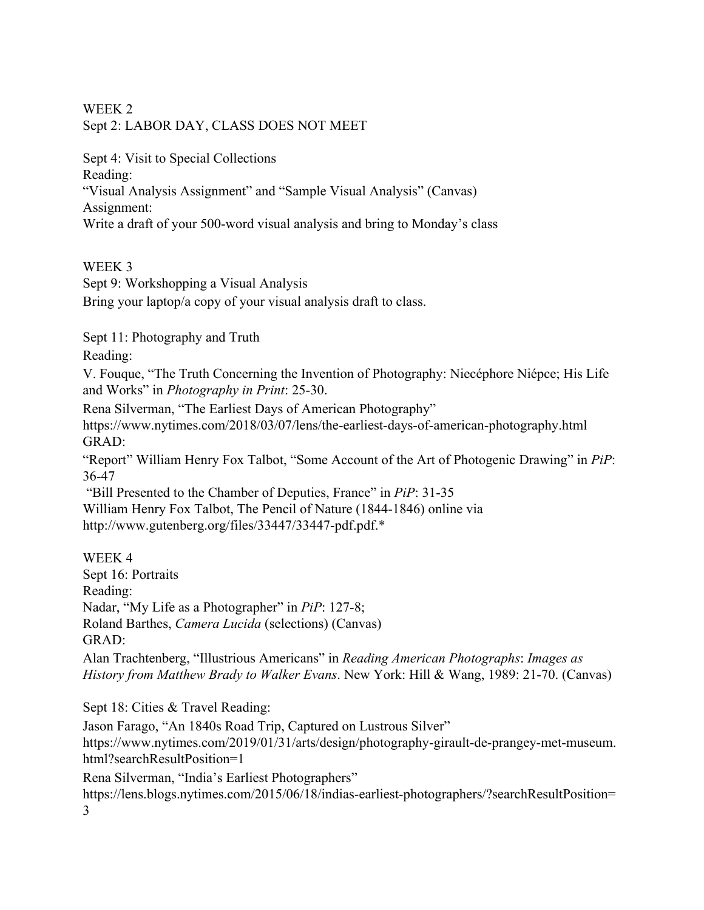## WEEK 2 Sept 2: LABOR DAY, CLASS DOES NOT MEET

Sept 4: Visit to Special Collections Reading:

"Visual Analysis Assignment" and "Sample Visual Analysis" (Canvas) Assignment:

Write a draft of your 500-word visual analysis and bring to Monday's class

# WEEK 3

Sept 9: Workshopping a Visual Analysis

Bring your laptop/a copy of your visual analysis draft to class.

Sept 11: Photography and Truth

Reading:

V. Fouque, "The Truth Concerning the Invention of Photography: Niecéphore Niépce; His Life and Works" in *Photography in Print*: 25-30.

Rena Silverman, "The Earliest Days of American Photography"

[https://www.nytimes.com/2018/03/07/lens/the-earliest](http://www.nytimes.com/2018/03/07/lens/the-earliest-days-of-american-)-days[-of-american-](http://www.nytimes.com/2018/03/07/lens/the-earliest-days-of-american-)photography.html GRAD:

"Report" William Henry Fox Talbot, "Some Account of the Art of Photogenic Drawing" in *PiP*: 36-47

 "Bill Presented to the Chamber of Deputies, France" in *PiP*: 31-35 William Henry Fox Talbot, The Pencil of Nature (1844-1846) online via [http://www.gutenberg.org/files/33447/33447-pdf.pdf.\\*](http://www.gutenberg.org/files/33447/33447-pdf.pdf.*)

WEEK 4 Sept 16: Portraits Reading: Nadar, "My Life as a Photographer" in *PiP*: 127-8; Roland Barthes, *Camera Lucida* (selections) (Canvas) GRAD:

Alan Trachtenberg, "Illustrious Americans" in *Reading American Photographs*: *Images as History from Matthew Brady to Walker Evans*. New York: Hill & Wang, 1989: 21-70. (Canvas)

Sept 18: Cities & Travel Reading:

Jason Farago, "An 1840s Road Trip, Captured on Lustrous Silver" [https://www.nytimes.com/2019/01/31/arts/design/photography-](http://www.nytimes.com/2019/01/31/arts/design/photography-girault-de-)girault[-de-p](http://www.nytimes.com/2019/01/31/arts/design/photography-girault-de-)rangey-met-museum. html?searchResultPosition=1 Rena Silverman, "India's Earliest Photographers" https://lens.blogs.nytimes.com/2015/06/18/indias-earliest-photographers/?searchResultPosition=

3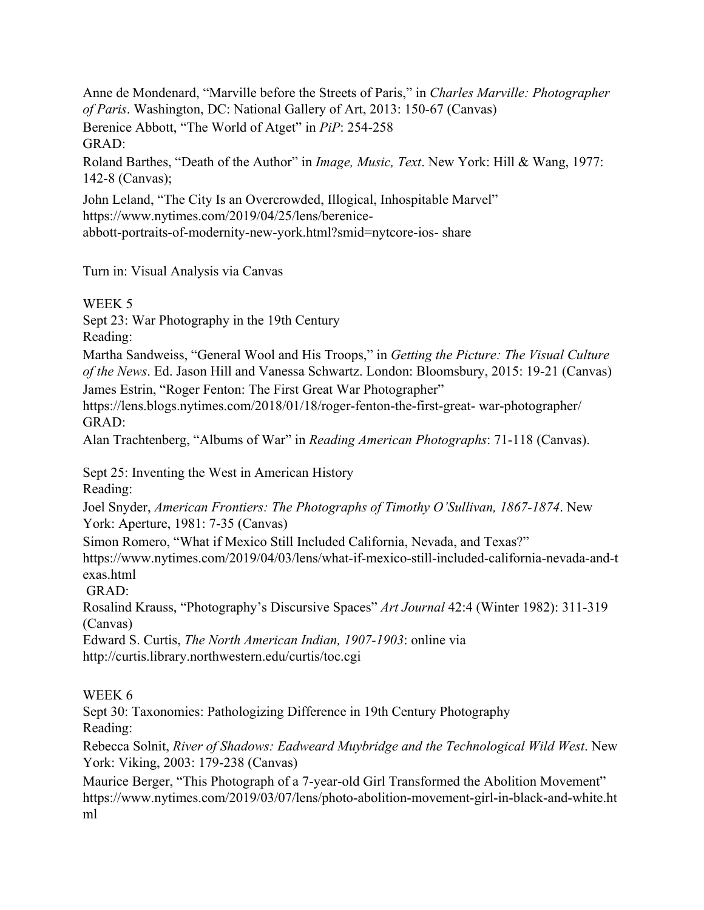Anne de Mondenard, "Marville before the Streets of Paris," in *Charles Marville: Photographer of Paris*. Washington, DC: National Gallery of Art, 2013: 150-67 (Canvas) Berenice Abbott, "The World of Atget" in *PiP*: 254-258 GRAD:

Roland Barthes, "Death of the Author" in *Image, Music, Text*. New York: Hill & Wang, 1977: 142-8 (Canvas);

John Leland, "The City Is an Overcrowded, Illogical, Inhospitable Marvel" [https://www.nytimes.com/2019/04/25/lens/berenice](http://www.nytimes.com/2019/04/25/lens/berenice-)abbott-portraits-of-modernity-new-york.html?smid=nytcore-ios- share

Turn in: Visual Analysis via Canvas

WEEK 5

Sept 23: War Photography in the 19th Century

Reading:

Martha Sandweiss, "General Wool and His Troops," in *Getting the Picture: The Visual Culture of the News*. Ed. Jason Hill and Vanessa Schwartz. London: Bloomsbury, 2015: 19-21 (Canvas) James Estrin, "Roger Fenton: The First Great War Photographer"

https://lens.blogs.nytimes.com/2018/01/18/roger-fenton-the-first-great- war-photographer/ GRAD:

Alan Trachtenberg, "Albums of War" in *Reading American Photographs*: 71-118 (Canvas).

Sept 25: Inventing the West in American History

Reading:

Joel Snyder, *American Frontiers: The Photographs of Timothy O'Sullivan, 1867-1874*. New York: Aperture, 1981: 7-35 (Canvas)

Simon Romero, "What if Mexico Still Included California, Nevada, and Texas?"

[https://www.nytimes.com/2019/04/03/lens/what](http://www.nytimes.com/2019/04/03/lens/what-if-mexico-still-)-if-[mexico-still-](http://www.nytimes.com/2019/04/03/lens/what-if-mexico-still-)included-california-nevada-and-t exas.html

GRAD:

Rosalind Krauss, "Photography's Discursive Spaces" *Art Journal* 42:4 (Winter 1982): 311-319 (Canvas)

Edward S. Curtis, *The North American Indian, 1907-1903*: online via <http://curtis.library.northwestern.edu/curtis/toc.cgi>

## WEEK 6

Sept 30: Taxonomies: Pathologizing Difference in 19th Century Photography Reading:

Rebecca Solnit, *River of Shadows: Eadweard Muybridge and the Technological Wild West*. New York: Viking, 2003: 179-238 (Canvas)

Maurice Berger, "This Photograph of a 7-year-old Girl Transformed the Abolition Movement" [https://www.nytimes.com/2019/03/07/lens/photo-](http://www.nytimes.com/2019/03/07/lens/photo-)abolition-movement-girl-in-black-and-white.ht ml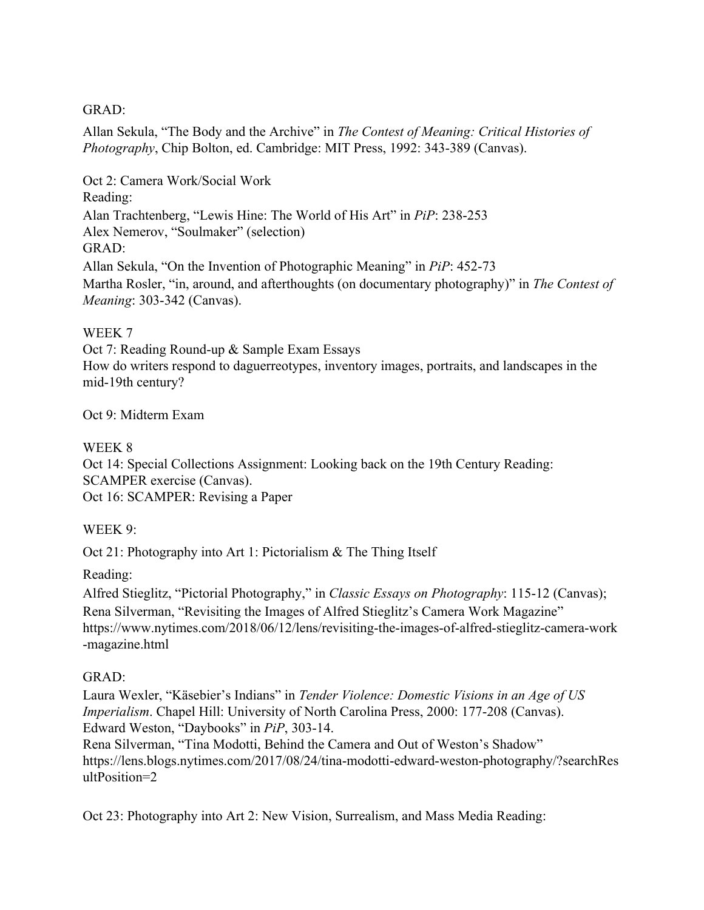### GRAD:

Allan Sekula, "The Body and the Archive" in *The Contest of Meaning: Critical Histories of Photography*, Chip Bolton, ed. Cambridge: MIT Press, 1992: 343-389 (Canvas).

Oct 2: Camera Work/Social Work Reading: Alan Trachtenberg, "Lewis Hine: The World of His Art" in *PiP*: 238-253 Alex Nemerov, "Soulmaker" (selection) GRAD: Allan Sekula, "On the Invention of Photographic Meaning" in *PiP*: 452-73 Martha Rosler, "in, around, and afterthoughts (on documentary photography)" in *The Contest of Meaning*: 303-342 (Canvas).

## WEEK 7

Oct 7: Reading Round-up & Sample Exam Essays How do writers respond to daguerreotypes, inventory images, portraits, and landscapes in the mid-19th century?

## Oct 9: Midterm Exam

## WEEK 8

Oct 14: Special Collections Assignment: Looking back on the 19th Century Reading: SCAMPER exercise (Canvas). Oct 16: SCAMPER: Revising a Paper

## WEEK 9:

Oct 21: Photography into Art 1: Pictorialism & The Thing Itself

Reading:

Alfred Stieglitz, "Pictorial Photography," in *Classic Essays on Photography*: 115-12 (Canvas); Rena Silverman, "Revisiting the Images of Alfred Stieglitz's Camera Work Magazine" [https://www.nytimes.com/2018/06/12/lens/revisiting-](http://www.nytimes.com/2018/06/12/lens/revisiting-)the-images-of-alfred-stieglitz-ca[me](http://www.nytimes.com/2018/06/12/lens/revisiting-)ra-work -magazine.html

## GRAD:

Laura Wexler, "Käsebier's Indians" in *Tender Violence: Domestic Visions in an Age of US Imperialism*. Chapel Hill: University of North Carolina Press, 2000: 177-208 (Canvas). Edward Weston, "Daybooks" in *PiP*, 303-14.

Rena Silverman, "Tina Modotti, Behind the Camera and Out of Weston's Shadow" https://lens.blogs.nytimes.com/2017/08/24/tina-modotti-edward-weston-photography/?searchRes ultPosition=2

Oct 23: Photography into Art 2: New Vision, Surrealism, and Mass Media Reading: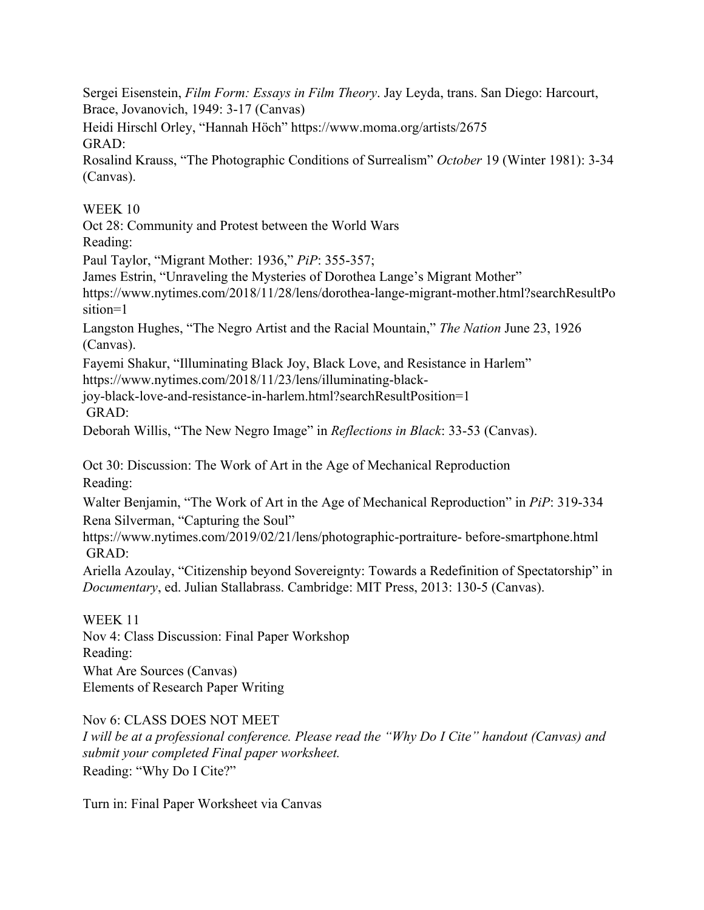Sergei Eisenstein, *Film Form: Essays in Film Theory*. Jay Leyda, trans. San Diego: Harcourt, Brace, Jovanovich, 1949: 3-17 (Canvas)

Heidi Hirschl Orley, "Hannah Höch[" https://www.moma.org/artists/2675](http://www.moma.org/artists/2675) GRAD:

Rosalind Krauss, "The Photographic Conditions of Surrealism" *October* 19 (Winter 1981): 3-34 (Canvas).

WEEK 10

Oct 28: Community and Protest between the World Wars Reading:

Paul Taylor, "Migrant Mother: 1936," *PiP*: 355-357;

James Estrin, "Unraveling the Mysteries of Dorothea Lange's Migrant Mother"

[https://www.nytimes.com/2018/11/28/lens/dorothea-](http://www.nytimes.com/2018/11/28/lens/dorothea-lange-)lange-migrant-mother.htm[l?](http://www.nytimes.com/2018/11/28/lens/dorothea-lange-)searchResultPo sition=1

Langston Hughes, "The Negro Artist and the Racial Mountain," *The Nation* June 23, 1926 (Canvas).

Fayemi Shakur, "Illuminating Black Joy, Black Love, and Resistance in Harlem"

[https://www.nytimes.com/2018/11/23/lens/illum](http://www.nytimes.com/2018/11/23/lens/illuminating-black-)inating-[black-](http://www.nytimes.com/2018/11/23/lens/illuminating-black-)

joy-black-love-and-resistance-in-harlem.html?searchResultPosition=1 GRAD:

Deborah Willis, "The New Negro Image" in *Reflections in Black*: 33-53 (Canvas).

Oct 30: Discussion: The Work of Art in the Age of Mechanical Reproduction

Reading:

Walter Benjamin, "The Work of Art in the Age of Mechanical Reproduction" in *PiP*: 319-334 Rena Silverman, "Capturing the Soul["](http://www.nytimes.com/2019/02/21/lens/photographic-portraiture-)

[https://www.nytimes.com/2019/02/21/lens/photographic-portraiture-](http://www.nytimes.com/2019/02/21/lens/photographic-portraiture-) before-smartphone.html GRAD:

Ariella Azoulay, "Citizenship beyond Sovereignty: Towards a Redefinition of Spectatorship" in *Documentary*, ed. Julian Stallabrass. Cambridge: MIT Press, 2013: 130-5 (Canvas).

WEEK 11 Nov 4: Class Discussion: Final Paper Workshop Reading: What Are Sources (Canvas) Elements of Research Paper Writing

Nov 6: CLASS DOES NOT MEET

*I will be at a professional conference. Please read the "Why Do I Cite" handout (Canvas) and submit your completed Final paper worksheet.* Reading: "Why Do I Cite?"

Turn in: Final Paper Worksheet via Canvas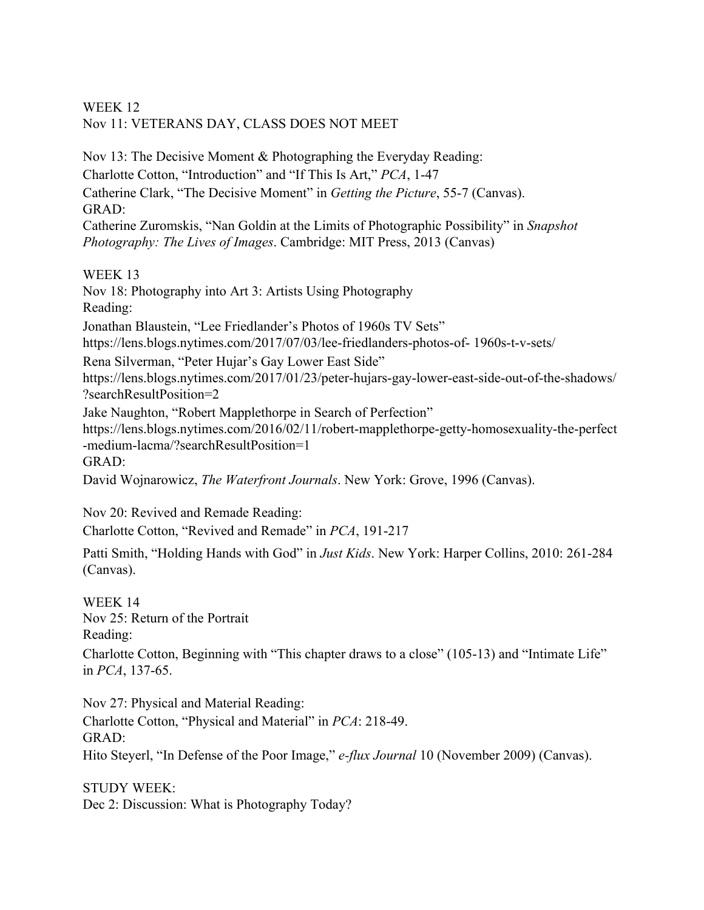## WEEK 12 Nov 11: VETERANS DAY, CLASS DOES NOT MEET

Nov 13: The Decisive Moment & Photographing the Everyday Reading: Charlotte Cotton, "Introduction" and "If This Is Art," *PCA*, 1-47 Catherine Clark, "The Decisive Moment" in *Getting the Picture*, 55-7 (Canvas). GRAD: Catherine Zuromskis, "Nan Goldin at the Limits of Photographic Possibility" in *Snapshot Photography: The Lives of Images*. Cambridge: MIT Press, 2013 (Canvas)

WEEK 13

Nov 18: Photography into Art 3: Artists Using Photography Reading: Jonathan Blaustein, "Lee Friedlander's Photos of 1960s TV Sets" https://lens.blogs.nytimes.com/2017/07/03/lee-friedlanders-photos-of- 1960s-t-v-sets/ Rena Silverman, "Peter Hujar's Gay Lower East Side" https://lens.blogs.nytimes.com/2017/01/23/peter-hujars-gay-lower-east-side-out-of-the-shadows/ ?searchResultPosition=2 Jake Naughton, "Robert Mapplethorpe in Search of Perfection" https://lens.blogs.nytimes.com/2016/02/11/robert-mapplethorpe-getty-homosexuality-the-perfect -medium-lacma/?searchResultPosition=1 GRAD: David Wojnarowicz, *The Waterfront Journals*. New York: Grove, 1996 (Canvas).

Nov 20: Revived and Remade Reading: Charlotte Cotton, "Revived and Remade" in *PCA*, 191-217

Patti Smith, "Holding Hands with God" in *Just Kids*. New York: Harper Collins, 2010: 261-284 (Canvas).

WEEK 14 Nov 25: Return of the Portrait Reading: Charlotte Cotton, Beginning with "This chapter draws to a close" (105-13) and "Intimate Life" in *PCA*, 137-65.

Nov 27: Physical and Material Reading: Charlotte Cotton, "Physical and Material" in *PCA*: 218-49. GRAD: Hito Steyerl, "In Defense of the Poor Image," *e-flux Journal* 10 (November 2009) (Canvas).

STUDY WEEK: Dec 2: Discussion: What is Photography Today?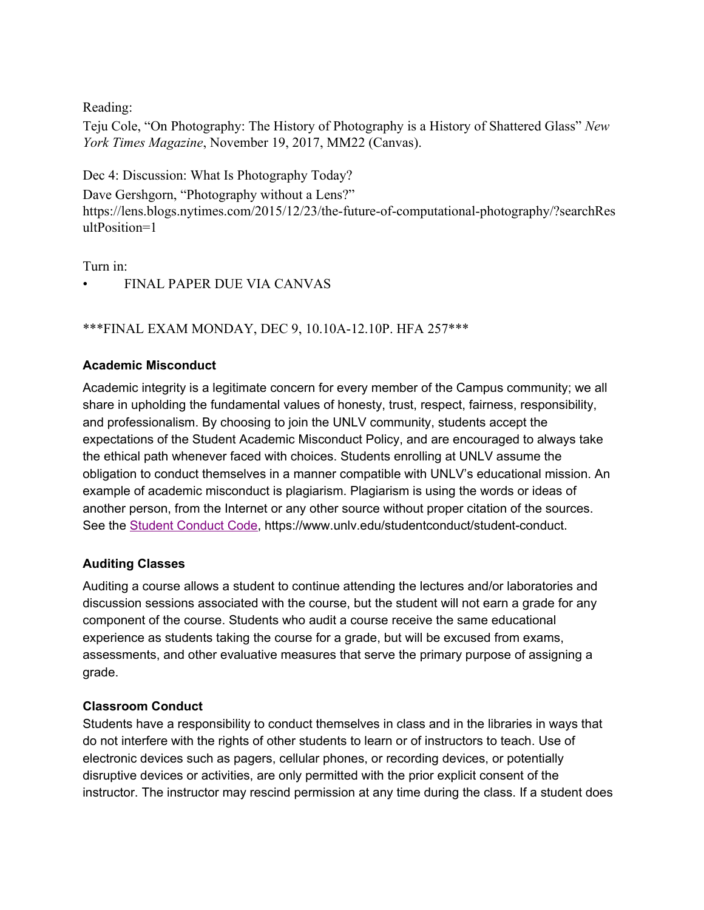Reading:

Teju Cole, "On Photography: The History of Photography is a History of Shattered Glass" *New York Times Magazine*, November 19, 2017, MM22 (Canvas).

Dec 4: Discussion: What Is Photography Today?

Dave Gershgorn, "Photography without a Lens?" https://lens.blogs.nytimes.com/2015/12/23/the-future-of-computational-photography/?searchRes ultPosition=1

Turn in:

• FINAL PAPER DUE VIA CANVAS

## \*\*\*FINAL EXAM MONDAY, DEC 9, 10.10A-12.10P. HFA 257\*\*\*

### **Academic Misconduct**

Academic integrity is a legitimate concern for every member of the Campus community; we all share in upholding the fundamental values of honesty, trust, respect, fairness, responsibility, and professionalism. By choosing to join the UNLV community, students accept the expectations of the Student Academic Misconduct Policy, and are encouraged to always take the ethical path whenever faced with choices. Students enrolling at UNLV assume the obligation to conduct themselves in a manner compatible with UNLV's educational mission. An example of academic misconduct is plagiarism. Plagiarism is using the words or ideas of another person, from the Internet or any other source without proper citation of the sources. See the [S](https://www.unlv.edu/studentconduct/student-conduct)tudent [Conduct](https://www.unlv.edu/studentconduct/student-conduct) Code, https://www.unlv.edu/studentconduct/student-conduct.

### **Auditing Classes**

Auditing a course allows a student to continue attending the lectures and/or laboratories and discussion sessions associated with the course, but the student will not earn a grade for any component of the course. Students who audit a course receive the same educational experience as students taking the course for a grade, but will be excused from exams, assessments, and other evaluative measures that serve the primary purpose of assigning a grade.

### **Classroom Conduct**

Students have a responsibility to conduct themselves in class and in the libraries in ways that do not interfere with the rights of other students to learn or of instructors to teach. Use of electronic devices such as pagers, cellular phones, or recording devices, or potentially disruptive devices or activities, are only permitted with the prior explicit consent of the instructor. The instructor may rescind permission at any time during the class. If a student does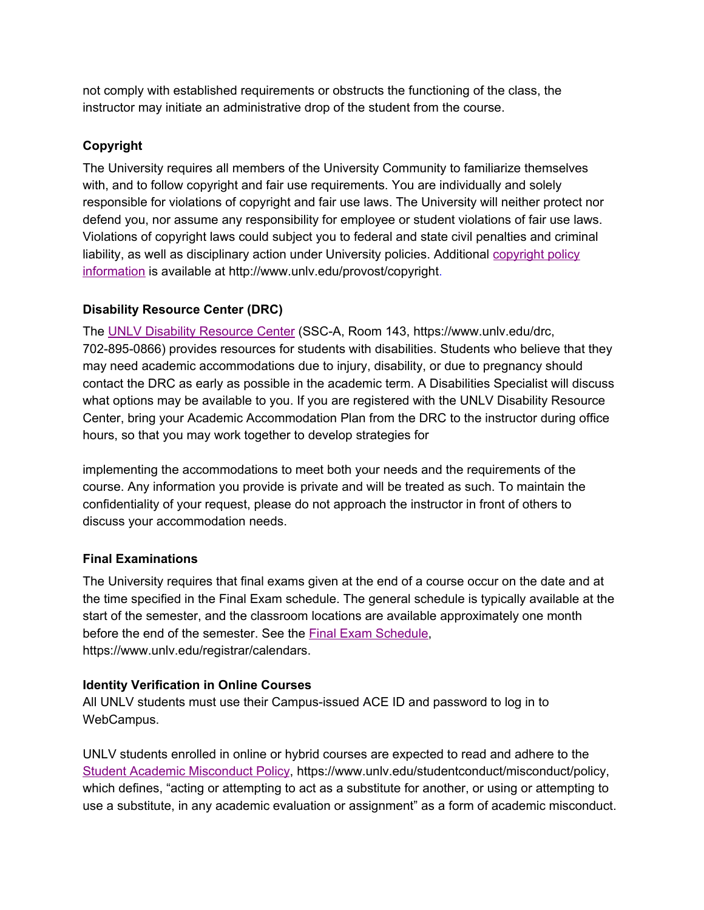not comply with established requirements or obstructs the functioning of the class, the instructor may initiate an administrative drop of the student from the course.

## **Copyright**

The University requires all members of the University Community to familiarize themselves with, and to follow copyright and fair use requirements. You are individually and solely responsible for violations of copyright and fair use laws. The University will neither protect nor defend you, nor assume any responsibility for employee or student violations of fair use laws. Violations of copyright laws could subject you to federal and state civil penalties and criminal liability, as well as disciplinary action under University policies. Additional [copyright](http://www.unlv.edu/provost/copyright) policy [information](http://www.unlv.edu/provost/copyright) is available at http://www.unlv.edu/provost/copyright.

## **Disability Resource Center (DRC)**

The [U](http://drc.unlv.edu/)NLV Disability [Resource](http://drc.unlv.edu/) Center (SSC-A, Room 143, https://www.unlv.edu/drc, 702-895-0866) provides resources for students with disabilities. Students who believe that they may need academic accommodations due to injury, disability, or due to pregnancy should contact the DRC as early as possible in the academic term. A Disabilities Specialist will discuss what options may be available to you. If you are registered with the UNLV Disability Resource Center, bring your Academic Accommodation Plan from the DRC to the instructor during office hours, so that you may work together to develop strategies for

implementing the accommodations to meet both your needs and the requirements of the course. Any information you provide is private and will be treated as such. To maintain the confidentiality of your request, please do not approach the instructor in front of others to discuss your accommodation needs.

## **Final Examinations**

The University requires that final exams given at the end of a course occur on the date and at the time specified in the Final Exam schedule. The general schedule is typically available at the start of the semester, and the classroom locations are available approximately one month before the end of the semester. See the Final Exam [Schedule,](https://www.unlv.edu/registrar/calendars) https://www.unlv.edu/registrar/calendars.

## **Identity Verification in Online Courses**

All UNLV students must use their Campus-issued ACE ID and password to log in to WebCampus.

UNLV students enrolled in online or hybrid courses are expected to read and adhere to th[e](https://www.unlv.edu/studentconduct/misconduct/policy) Student Academic [Misconduct](https://www.unlv.edu/studentconduct/misconduct/policy) Policy, https://www.unlv.edu/studentconduct/misconduct/policy, which defines, "acting or attempting to act as a substitute for another, or using or attempting to use a substitute, in any academic evaluation or assignment" as a form of academic misconduct.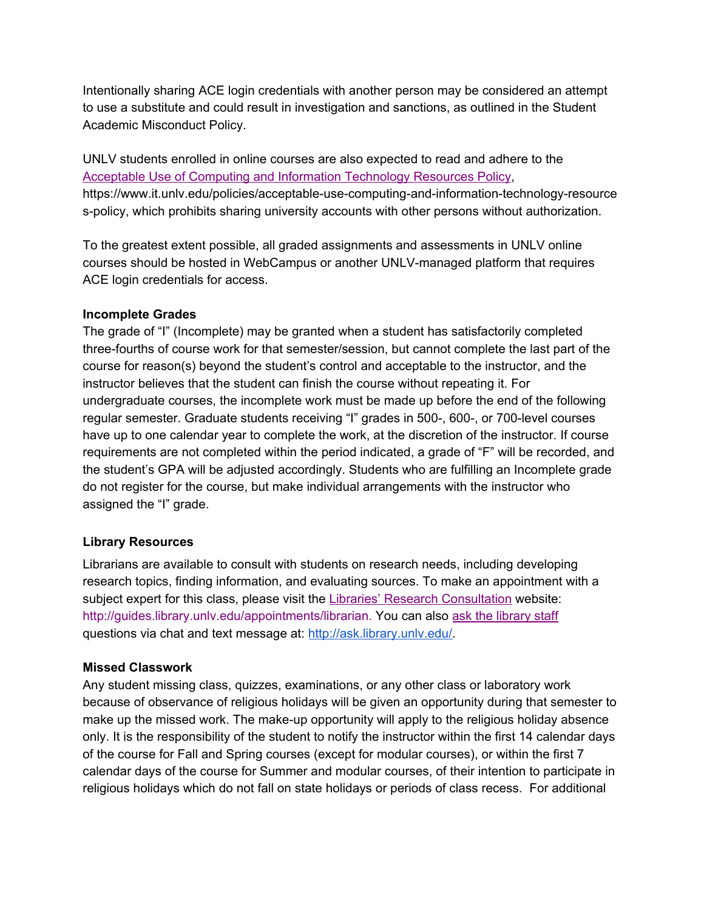Intentionally sharing ACE login credentials with another person may be considered an attempt to use a substitute and could result in investigation and sanctions, as outlined in the Student Academic Misconduct Policy.

UNLV students enrolled in online courses are also expected to read and adhere to the Acceptable Use of Computing and Information [Technology](https://www.it.unlv.edu/policies/acceptable-use-computing-and-information-technology-resources-policy) Resources Policy, https://www.it.unlv.edu/policies/acceptable-use-computing-and-information-technology-resource s-policy, which prohibits sharing university accounts with other persons without authorization.

To the greatest extent possible, all graded assignments and assessments in UNLV online courses should be hosted in WebCampus or another UNLV-managed platform that requires ACE login credentials for access.

### **Incomplete Grades**

The grade of "I" (Incomplete) may be granted when a student has satisfactorily completed three-fourths of course work for that semester/session, but cannot complete the last part of the course for reason(s) beyond the student's control and acceptable to the instructor, and the instructor believes that the student can finish the course without repeating it. For undergraduate courses, the incomplete work must be made up before the end of the following regular semester. Graduate students receiving "I" grades in 500-, 600-, or 700-level courses have up to one calendar year to complete the work, at the discretion of the instructor. If course requirements are not completed within the period indicated, a grade of "F" will be recorded, and the student's GPA will be adjusted accordingly. Students who are fulfilling an Incomplete grade do not register for the course, but make individual arrangements with the instructor who assigned the "I" grade.

### **Library Resources**

Librarians are available to consult with students on research needs, including developing research topics, finding information, and evaluating sources. To make an appointment with a subject expert for this class, please visit the **Libraries' Research [Consultation](http://guides.library.unlv.edu/appointments/librarian)** website: [http://guides.library.unlv.edu/appointments/librarian.](http://guides.library.unlv.edu/appointments/librarian) You can also [a](http://ask.library.unlv.edu/)sk the [library](http://ask.library.unlv.edu/) staff questions via chat and text message at: [http://ask.library.unlv.edu/.](http://ask.library.unlv.edu/)

### **Missed Classwork**

Any student missing class, quizzes, examinations, or any other class or laboratory work because of observance of religious holidays will be given an opportunity during that semester to make up the missed work. The make-up opportunity will apply to the religious holiday absence only. It is the responsibility of the student to notify the instructor within the first 14 calendar days of the course for Fall and Spring courses (except for modular courses), or within the first 7 calendar days of the course for Summer and modular courses, of their intention to participate in religious holidays which do not fall on state holidays or periods of class recess. For additional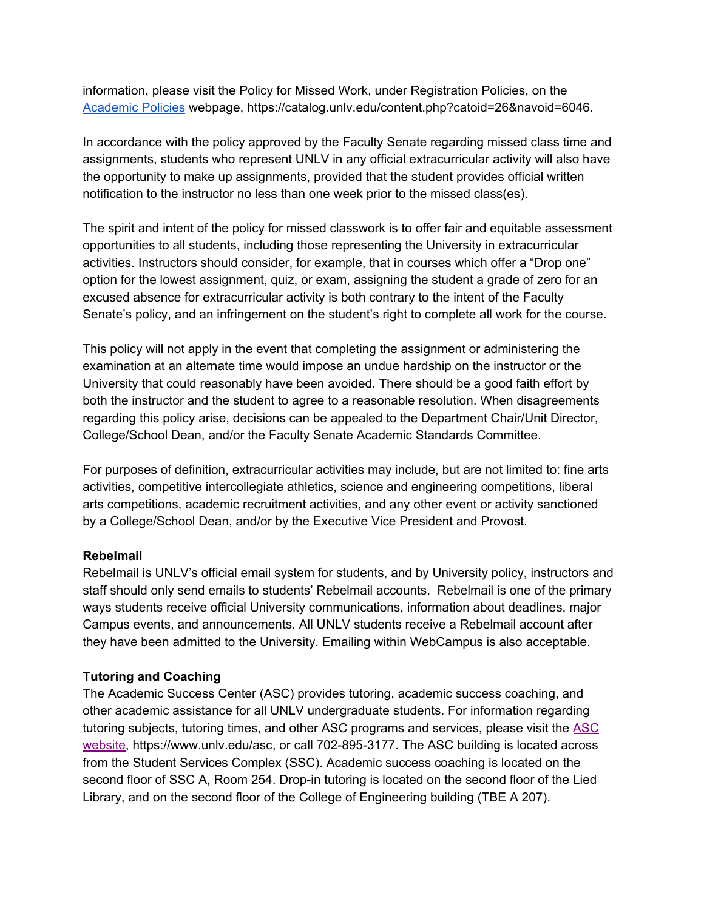information, please visit the Policy for Missed Work, under Registration Policies, on the [Academic](https://catalog.unlv.edu/content.php?catoid=26&navoid=6046) Policies webpage, https://catalog.unlv.edu/content.php?catoid=26&navoid=6046.

In accordance with the policy approved by the Faculty Senate regarding missed class time and assignments, students who represent UNLV in any official extracurricular activity will also have the opportunity to make up assignments, provided that the student provides official written notification to the instructor no less than one week prior to the missed class(es).

The spirit and intent of the policy for missed classwork is to offer fair and equitable assessment opportunities to all students, including those representing the University in extracurricular activities. Instructors should consider, for example, that in courses which offer a "Drop one" option for the lowest assignment, quiz, or exam, assigning the student a grade of zero for an excused absence for extracurricular activity is both contrary to the intent of the Faculty Senate's policy, and an infringement on the student's right to complete all work for the course.

This policy will not apply in the event that completing the assignment or administering the examination at an alternate time would impose an undue hardship on the instructor or the University that could reasonably have been avoided. There should be a good faith effort by both the instructor and the student to agree to a reasonable resolution. When disagreements regarding this policy arise, decisions can be appealed to the Department Chair/Unit Director, College/School Dean, and/or the Faculty Senate Academic Standards Committee.

For purposes of definition, extracurricular activities may include, but are not limited to: fine arts activities, competitive intercollegiate athletics, science and engineering competitions, liberal arts competitions, academic recruitment activities, and any other event or activity sanctioned by a College/School Dean, and/or by the Executive Vice President and Provost.

### **Rebelmail**

Rebelmail is UNLV's official email system for students, and by University policy, instructors and staff should only send emails to students' Rebelmail accounts. Rebelmail is one of the primary ways students receive official University communications, information about deadlines, major Campus events, and announcements. All UNLV students receive a Rebelmail account after they have been admitted to the University. Emailing within WebCampus is also acceptable.

## **Tutoring and Coaching**

The Academic Success Center (ASC) provides tutoring, academic success coaching, and other academic assistance for all UNLV undergraduate students. For information regarding tutoring subjects, tutoring times, and other ASC programs and services, please visit the [ASC](https://www.unlv.edu/asc) [website,](https://www.unlv.edu/asc) https://www.unlv.edu/asc, or call 702-895-3177. The ASC building is located across from the Student Services Complex (SSC). Academic success coaching is located on the second floor of SSC A, Room 254. Drop-in tutoring is located on the second floor of the Lied Library, and on the second floor of the College of Engineering building (TBE A 207).